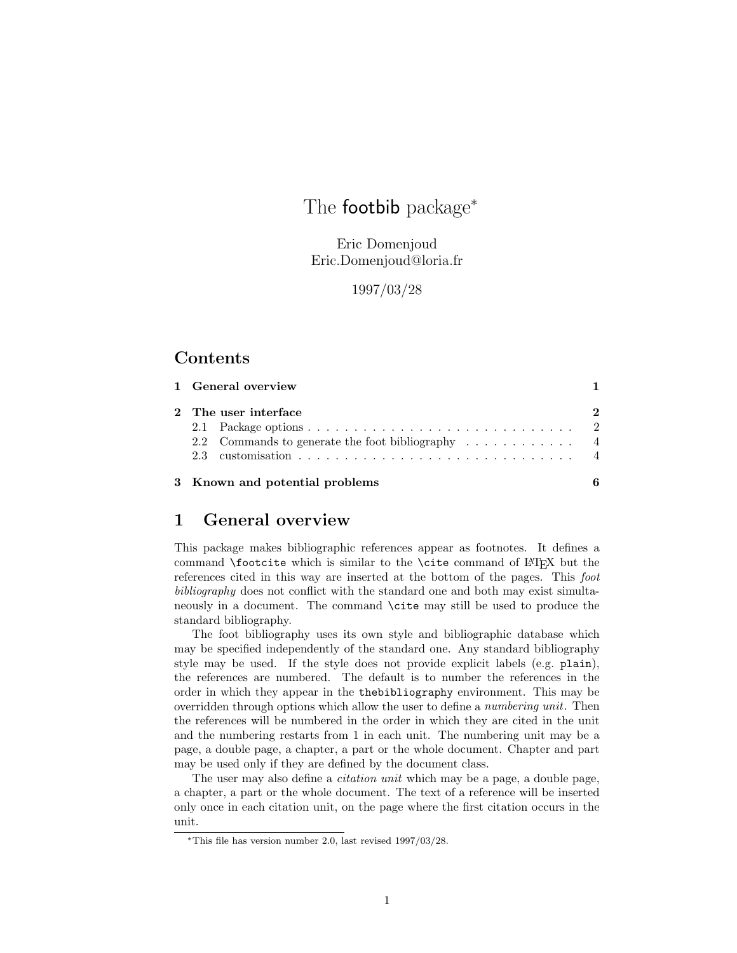# The **footbib** package<sup>\*</sup>

Eric Domenjoud Eric.Domenjoud@loria.fr

1997/03/28

# Contents

| 1 General overview                                                                         |  |
|--------------------------------------------------------------------------------------------|--|
| 2 The user interface<br>2.2 Commands to generate the foot bibliography $\dots \dots \dots$ |  |
| 3 Known and potential problems                                                             |  |

## 1 General overview

This package makes bibliographic references appear as footnotes. It defines a command **\footcite** which is similar to the **\cite** command of LAT<sub>EX</sub> but the references cited in this way are inserted at the bottom of the pages. This foot bibliography does not conflict with the standard one and both may exist simultaneously in a document. The command \cite may still be used to produce the standard bibliography.

The foot bibliography uses its own style and bibliographic database which may be specified independently of the standard one. Any standard bibliography style may be used. If the style does not provide explicit labels (e.g. plain), the references are numbered. The default is to number the references in the order in which they appear in the thebibliography environment. This may be overridden through options which allow the user to define a *numbering unit*. Then the references will be numbered in the order in which they are cited in the unit and the numbering restarts from 1 in each unit. The numbering unit may be a page, a double page, a chapter, a part or the whole document. Chapter and part may be used only if they are defined by the document class.

The user may also define a *citation unit* which may be a page, a double page, a chapter, a part or the whole document. The text of a reference will be inserted only once in each citation unit, on the page where the first citation occurs in the unit.

<sup>∗</sup>This file has version number 2.0, last revised 1997/03/28.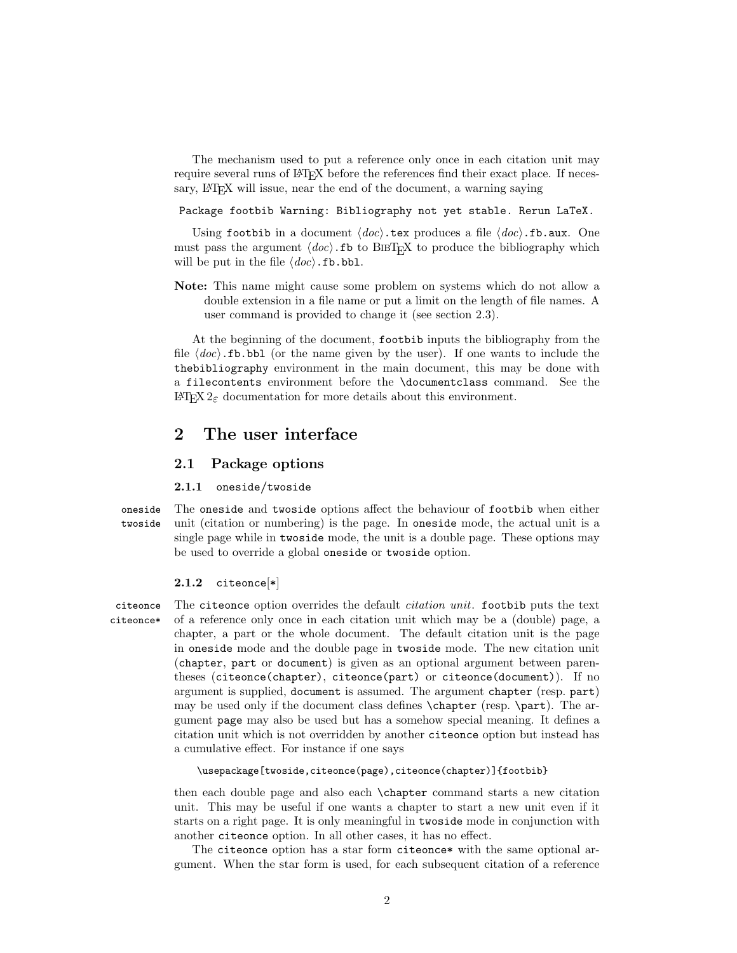The mechanism used to put a reference only once in each citation unit may require several runs of LAT<sub>EX</sub> before the references find their exact place. If necessary, LAT<sub>E</sub>X will issue, near the end of the document, a warning saying

Package footbib Warning: Bibliography not yet stable. Rerun LaTeX.

Using footbib in a document  $\langle doc\rangle$ .tex produces a file  $\langle doc\rangle$ .fb.aux. One must pass the argument  $\langle doc \rangle$ . fb to BIBT<sub>EX</sub> to produce the bibliography which will be put in the file  $\langle doc\rangle$ .fb.bbl.

Note: This name might cause some problem on systems which do not allow a double extension in a file name or put a limit on the length of file names. A user command is provided to change it (see section 2.3).

At the beginning of the document, footbib inputs the bibliography from the file  $\langle doc\rangle$ .fb.bbl (or the name given by the user). If one wants to include the thebibliography environment in the main document, this may be done with a filecontents environment before the \documentclass command. See the LATEX 2ε documentation for more details about this environment.

### 2 The user interface

### 2.1 Package options

#### 2.1.1 oneside/twoside

oneside The oneside and twoside options affect the behaviour of footbib when either twoside unit (citation or numbering) is the page. In oneside mode, the actual unit is a single page while in twoside mode, the unit is a double page. These options may be used to override a global oneside or twoside option.

#### 2.1.2 citeonce[\*]

citeonce The citeonce option overrides the default citation unit. footbib puts the text citeonce\* of a reference only once in each citation unit which may be a (double) page, a chapter, a part or the whole document. The default citation unit is the page in oneside mode and the double page in twoside mode. The new citation unit (chapter, part or document) is given as an optional argument between parentheses (citeonce(chapter), citeonce(part) or citeonce(document)). If no argument is supplied, document is assumed. The argument chapter (resp. part) may be used only if the document class defines \chapter (resp. \part). The argument page may also be used but has a somehow special meaning. It defines a citation unit which is not overridden by another citeonce option but instead has a cumulative effect. For instance if one says

#### \usepackage[twoside,citeonce(page),citeonce(chapter)]{footbib}

then each double page and also each \chapter command starts a new citation unit. This may be useful if one wants a chapter to start a new unit even if it starts on a right page. It is only meaningful in twoside mode in conjunction with another citeonce option. In all other cases, it has no effect.

The citeonce option has a star form citeonce\* with the same optional argument. When the star form is used, for each subsequent citation of a reference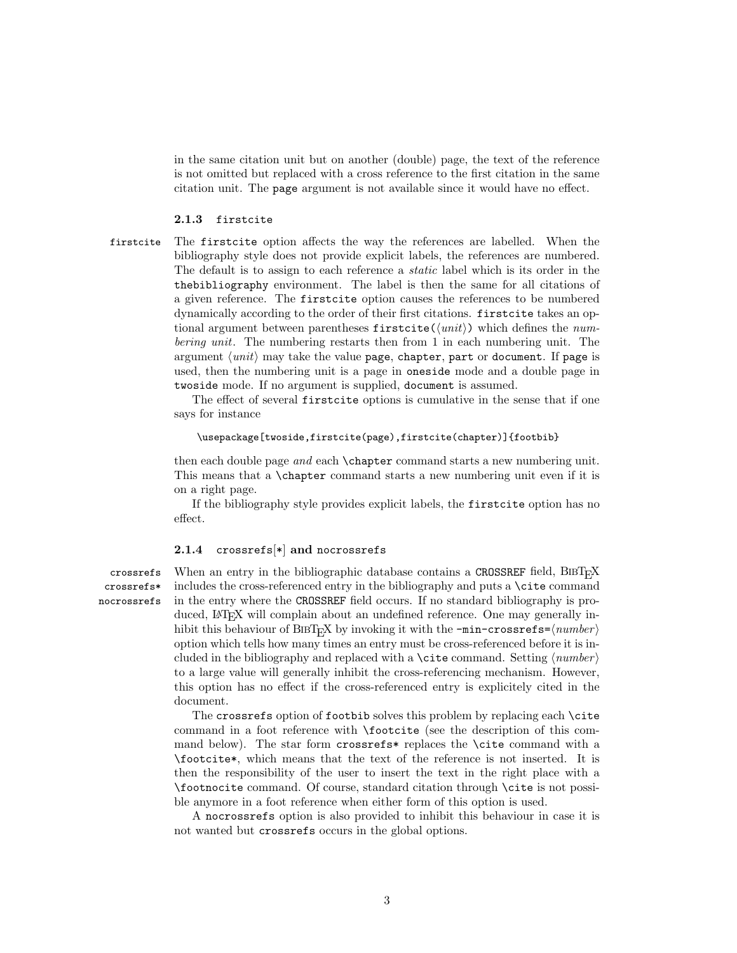in the same citation unit but on another (double) page, the text of the reference is not omitted but replaced with a cross reference to the first citation in the same citation unit. The page argument is not available since it would have no effect.

#### 2.1.3 firstcite

firstcite The firstcite option affects the way the references are labelled. When the bibliography style does not provide explicit labels, the references are numbered. The default is to assign to each reference a static label which is its order in the thebibliography environment. The label is then the same for all citations of a given reference. The firstcite option causes the references to be numbered dynamically according to the order of their first citations. firstcite takes an optional argument between parentheses  $firstcite(\langle unit \rangle)$  which defines the numbering unit. The numbering restarts then from 1 in each numbering unit. The argument  $\langle unit \rangle$  may take the value page, chapter, part or document. If page is used, then the numbering unit is a page in oneside mode and a double page in twoside mode. If no argument is supplied, document is assumed.

> The effect of several firstcite options is cumulative in the sense that if one says for instance

#### \usepackage[twoside,firstcite(page),firstcite(chapter)]{footbib}

then each double page and each **\chapter** command starts a new numbering unit. This means that a \chapter command starts a new numbering unit even if it is on a right page.

If the bibliography style provides explicit labels, the firstcite option has no effect.

#### 2.1.4  $\csces[\ast]$  and nocrossrefs

crossrefs\* nocrossrefs

crossrefs When an entry in the bibliographic database contains a CROSSREF field,  $BIBT<sub>F</sub>X$ includes the cross-referenced entry in the bibliography and puts a \cite command in the entry where the CROSSREF field occurs. If no standard bibliography is produced, LAT<sub>E</sub>X will complain about an undefined reference. One may generally inhibit this behaviour of BIBT<sub>E</sub>X by invoking it with the  $-min\text{-}cross\text{-}s$  = $\langle number \rangle$ option which tells how many times an entry must be cross-referenced before it is included in the bibliography and replaced with a \cite command. Setting  $\langle number \rangle$ to a large value will generally inhibit the cross-referencing mechanism. However, this option has no effect if the cross-referenced entry is explicitely cited in the document.

> The crossrefs option of footbib solves this problem by replacing each \cite command in a foot reference with \footcite (see the description of this command below). The star form crossrefs\* replaces the \cite command with a \footcite\*, which means that the text of the reference is not inserted. It is then the responsibility of the user to insert the text in the right place with a \footnocite command. Of course, standard citation through \cite is not possible anymore in a foot reference when either form of this option is used.

> A nocrossrefs option is also provided to inhibit this behaviour in case it is not wanted but crossrefs occurs in the global options.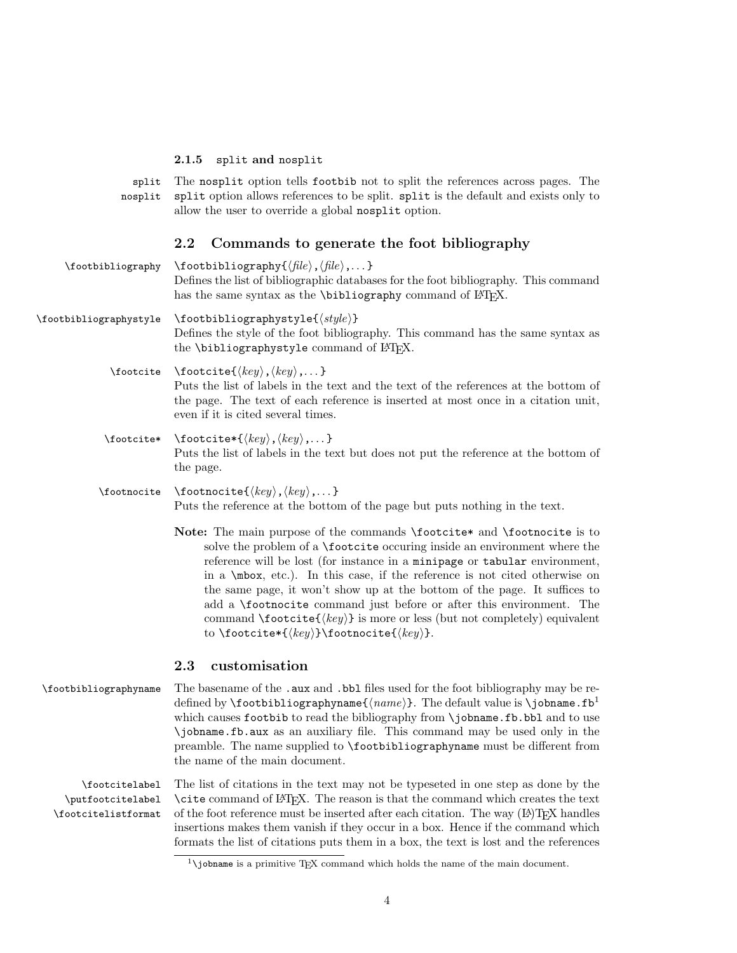#### 2.1.5 split and nosplit

split The nosplit option tells footbib not to split the references across pages. The nosplit split option allows references to be split. split is the default and exists only to allow the user to override a global nosplit option.

#### 2.2 Commands to generate the foot bibliography

- $\to \t{footbibliography \footnotesize \of (file), (file), ... }$ Defines the list of bibliographic databases for the foot bibliography. This command has the same syntax as the  $\bibliography$  command of  $\LaTeX$ .
- $\to$  \footbibliographystyle \footbibliographystyle{ $\{style\}$ } Defines the style of the foot bibliography. This command has the same syntax as the \bibliographystyle command of LATEX.
	- \footcite \footcite{ $\langle key \rangle$ ,  $\langle key \rangle$ ,...} Puts the list of labels in the text and the text of the references at the bottom of the page. The text of each reference is inserted at most once in a citation unit, even if it is cited several times.
	- \footcite\* \footcite\*{ $\langle key \rangle$ ,  $\langle key \rangle$ ,...} Puts the list of labels in the text but does not put the reference at the bottom of the page.
	- \footnocite \footnocite{ $\langle key \rangle$ ,  $\langle key \rangle$ ,...} Puts the reference at the bottom of the page but puts nothing in the text.
		- Note: The main purpose of the commands \footcite\* and \footnocite is to solve the problem of a \footcite occuring inside an environment where the reference will be lost (for instance in a minipage or tabular environment, in a \mbox, etc.). In this case, if the reference is not cited otherwise on the same page, it won't show up at the bottom of the page. It suffices to add a \footnocite command just before or after this environment. The command  $\footnotesize{\text{footcite}(\text{key})\text{ is more or less (but not completely) equivalent}}$ to \footcite\*{ $\{key\}$ \footnocite{ $\{key\}$ .

### 2.3 customisation

\footbibliographyname The basename of the .aux and .bbl files used for the foot bibliography may be redefined by **\footbibliographyname**{ $\langle name \rangle$ }. The default value is **\jobname.fb**<sup>1</sup> which causes footbib to read the bibliography from **\**jobname.fb.bbl and to use \jobname.fb.aux as an auxiliary file. This command may be used only in the preamble. The name supplied to \footbibliographyname must be different from the name of the main document.

\footcitelabel The list of citations in the text may not be typeseted in one step as done by the \putfootcitelabel \footcitelistformat \cite command of LATEX. The reason is that the command which creates the text of the foot reference must be inserted after each citation. The way  $(L<sup>A</sup>)$ T<sub>E</sub>X handles insertions makes them vanish if they occur in a box. Hence if the command which formats the list of citations puts them in a box, the text is lost and the references

<sup>&</sup>lt;sup>1</sup>\jobname is a primitive TFX command which holds the name of the main document.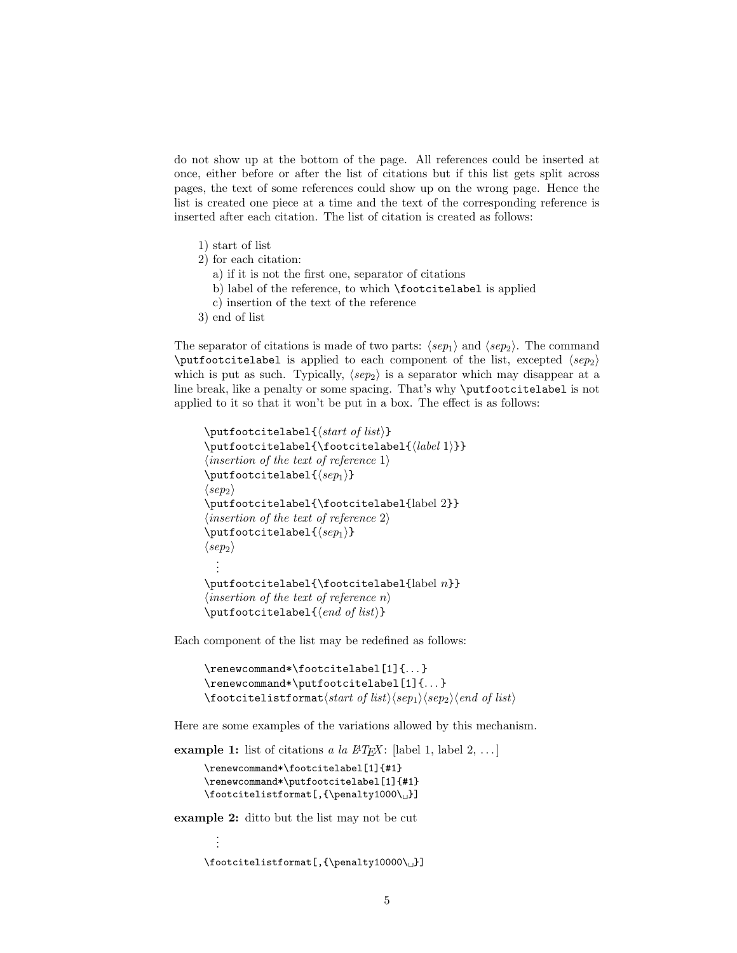do not show up at the bottom of the page. All references could be inserted at once, either before or after the list of citations but if this list gets split across pages, the text of some references could show up on the wrong page. Hence the list is created one piece at a time and the text of the corresponding reference is inserted after each citation. The list of citation is created as follows:

- 1) start of list
- 2) for each citation:
	- a) if it is not the first one, separator of citations
	- b) label of the reference, to which **\footcitelabel** is applied
	- c) insertion of the text of the reference
- 3) end of list

The separator of citations is made of two parts:  $\langle s e p_1 \rangle$  and  $\langle s e p_2 \rangle$ . The command  $\putfoot{1a}$  is applied to each component of the list, excepted  $\langle sep_2 \rangle$ which is put as such. Typically,  $\langle sep_2 \rangle$  is a separator which may disappear at a line break, like a penalty or some spacing. That's why \putfootcitelabel is not applied to it so that it won't be put in a box. The effect is as follows:

```
\putfootcitelabel{hstart of listi}
\putfootct{label}{footcities}\langle insertion\ of\ the\ text\ of\ reference\ 1 \rangle\putfoot{tellelabel({sep1})}\langle{}sep_2\rangle{}\putfootcitelabel{\footcitelabel{label 2}}
\langle insertion\ of\ the\ text\ of\ reference\ 2\rangle\putfootcitelabel{hsep1i}
\langle{}sep_2\rangle.
   .
   .
\putfootnotesize \verb+\footot{+footcitelabel{label}+\langle insertion\ of\ the\ text\ of\ reference\ n\rangle\putfootnotesize \verb+\putfootcitedabel{<i>(end of list</i>)
```
Each component of the list may be redefined as follows:

```
\renewcommand*\footcitelabel[1]{...}
\renewcommand*\putfootcitelabel[1]{. . . }
\setminusfootcitelistformat\langle start\ of\ list \rangle\langle sep_1 \rangle\langle sep_2 \rangle\langle end\ of\ list \rangle
```
Here are some examples of the variations allowed by this mechanism.

example 1: list of citations a la  $BT_F X$ : [label 1, label 2, ...]

```
\renewcommand*\footcitelabel[1]{#1}
\renewcommand*\putfootcitelabel[1]{#1}
\footnotesize\label{thm:convex} \footcitelistformat[, {\penalty1000\_}]
```
example 2: ditto but the list may not be cut

. .

```
.
\footnotesize \label{thm:conv} \footcitelistformat[, {\penalty10000\_}]
```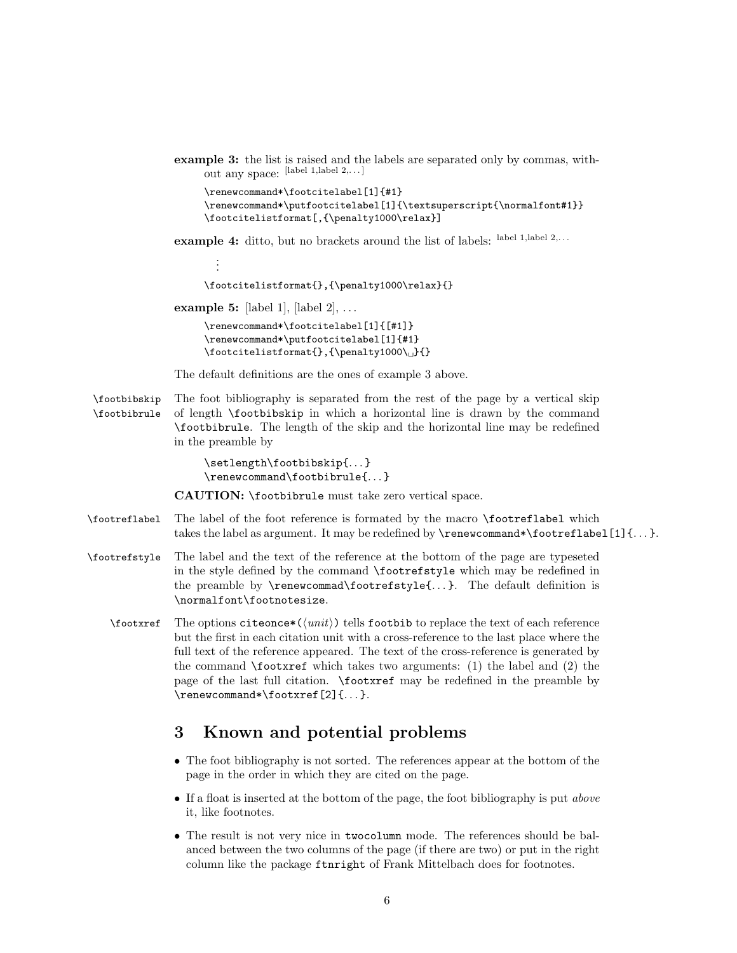example 3: the list is raised and the labels are separated only by commas, without any space: [label 1,label 2,. . . ]

```
\renewcommand*\footcitelabel[1]{#1}
\renewcommand*\putfootcitelabel[1]{\textsuperscript{\normalfont#1}}
\footcitelistformat[,{\penalty1000\relax}]
```
example 4: ditto, but no brackets around the list of labels: label 1, label 2,...

. . . \footcitelistformat{},{\penalty1000\relax}{}

example 5: [label 1],  $\lbrack$  [label 2],  $\dots$ 

\renewcommand\*\footcitelabel[1]{[#1]} \renewcommand\*\putfootcitelabel[1]{#1} \footcitelistformat{},{\penalty1000\0}{}

The default definitions are the ones of example 3 above.

\footbibskip The foot bibliography is separated from the rest of the page by a vertical skip \footbibrule of length \footbibskip in which a horizontal line is drawn by the command \footbibrule. The length of the skip and the horizontal line may be redefined in the preamble by

> \setlength\footbibskip{. . . } \renewcommand\footbibrule{. . . }

CAUTION: \footbibrule must take zero vertical space.

- \footreflabel The label of the foot reference is formated by the macro \footreflabel which takes the label as argument. It may be redefined by  $\renewcommand*\footnotesize{\text{\n}}\$  tootreflabel [1] {...}.
- \footrefstyle The label and the text of the reference at the bottom of the page are typeseted in the style defined by the command \footrefstyle which may be redefined in the preamble by \renewcommad\footrefstyle{. . . }. The default definition is \normalfont\footnotesize.
	- \footxref The options citeonce\*( $\langle \text{unit}\rangle$ ) tells footbib to replace the text of each reference but the first in each citation unit with a cross-reference to the last place where the full text of the reference appeared. The text of the cross-reference is generated by the command  $\footnotesize\bigwedge\limits^{\bullet}$  tootxref which takes two arguments: (1) the label and (2) the page of the last full citation. \footxref may be redefined in the preamble by \renewcommand\*\footxref[2]{. . . }.

# 3 Known and potential problems

- The foot bibliography is not sorted. The references appear at the bottom of the page in the order in which they are cited on the page.
- If a float is inserted at the bottom of the page, the foot bibliography is put *above* it, like footnotes.
- The result is not very nice in twocolumn mode. The references should be balanced between the two columns of the page (if there are two) or put in the right column like the package ftnright of Frank Mittelbach does for footnotes.